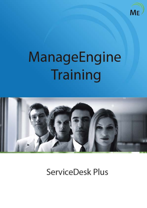

# ManageEngine Training



ServiceDesk Plus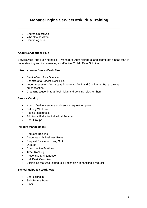# **ManageEngine ServiceDesk Plus Training**

- Course Objectives
- Who Should Attend
- Course Agenda

#### **About ServiceDesk Plus**

ServiceDesk Plus Training helps IT Managers, Administrators, and staff to get a head start in understanding and implementing an effective IT Help Desk Solution.

#### **Introduction to ServiceDesk Plus**

- **•** ServiceDesk Plus Overview
- Benefits of a Service Desk Plus
- Import requestors from Active Directory /LDAP and Configuring Pass-through authentication.
- Changing a user in to a Technician and defining roles for them

#### **Service Catalog**

- How to Define a service and service request template
- Defining Workflow
- Adding Resources.
- Additional Fields for individual Services.
- User Groups

#### **Incident Management**

- Request Tracking
- Automate with Business Rules
- Request Escalation using SLA
- Queues
- Configure Notifications
- Time-Tracking
- Preventive Maintenance
- HelpDesk Cutomizer
- Explaining features related to a Technician in handling a request

#### **Typical Helpdesk Workflows**

- User calling in
- Self-Service Portal
- Email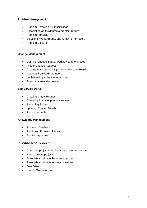#### **Problem Management**

- Problem Detection & Classification
- Associating an Incident to a problem request
- Problem Analysis
- Solutions, Work Around, and Known error record
- Problem Closure

#### **Change Management**

- Defining Change Status, workflow and templates
- Initiate Change Request
- Change Plans and CAB (Change Advisory Board)
- Approval from CAB members
- Implementing a change as a project
- Post Implementation review

#### **Self Service Portal**

- Creating a New Request
- Checking Status of previous request
- Searching Solutions
- updating Contact Details
- Announcements

#### **Knowledge Management**

- Solutions Database
- Public and Private solutions
- Solution Approver

#### **PROJECT MANAGEMENT**

- Configure project roles for users and/or technicians
- How to create projects
- Associate multiple milestones to project
- Associate multiple tasks to a milestone
- Gant View
- Project Overview map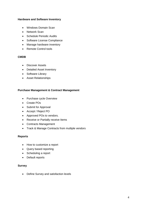#### **Hardware and Software Inventory**

- Windows Domain Scan
- Network Scan
- Schedule Periodic Audits
- Software License Compliance
- Manage hardware inventory
- Remote Control tools

#### **CMDB**

- Discover Assets
- Detailed Asset Inventory
- Software Library
- Asset Relationships

#### **Purchase Management & Contract Management**

- Purchase cycle Overview
- Create POs
- Submit for Approval
- Accept / Reject PO
- Approved POs to vendors.
- Receive or Partially receive Items
- Contracts Management
- Track & Manage Contracts from multiple vendors

#### **Reports**

- How to customize a report
- Query based reporting
- Scheduling a report
- Default reports

#### **Survey**

Define Survey and satisfaction levels